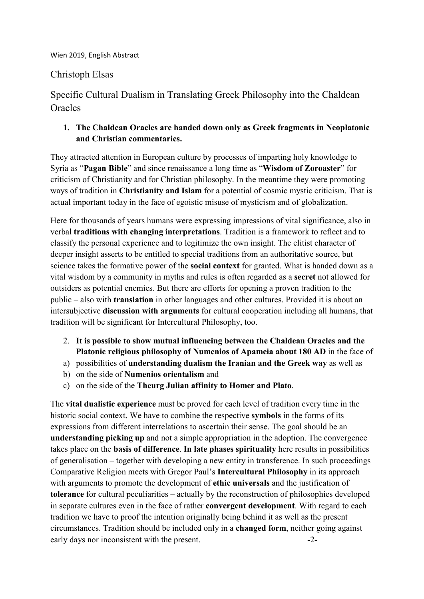## Wien 2019, English Abstract

## Christoph Elsas

Specific Cultural Dualism in Translating Greek Philosophy into the Chaldean **Oracles** 

## **1. The Chaldean Oracles are handed down only as Greek fragments in Neoplatonic and Christian commentaries.**

They attracted attention in European culture by processes of imparting holy knowledge to Syria as "**Pagan Bible**" and since renaissance a long time as "**Wisdom of Zoroaster**" for criticism of Christianity and for Christian philosophy. In the meantime they were promoting ways of tradition in **Christianity and Islam** for a potential of cosmic mystic criticism. That is actual important today in the face of egoistic misuse of mysticism and of globalization.

Here for thousands of years humans were expressing impressions of vital significance, also in verbal **traditions with changing interpretations**. Tradition is a framework to reflect and to classify the personal experience and to legitimize the own insight. The elitist character of deeper insight asserts to be entitled to special traditions from an authoritative source, but science takes the formative power of the **social context** for granted. What is handed down as a vital wisdom by a community in myths and rules is often regarded as a **secret** not allowed for outsiders as potential enemies. But there are efforts for opening a proven tradition to the public – also with **translation** in other languages and other cultures. Provided it is about an intersubjective **discussion with arguments** for cultural cooperation including all humans, that tradition will be significant for Intercultural Philosophy, too.

- 2. **It is possible to show mutual influencing between the Chaldean Oracles and the Platonic religious philosophy of Numenios of Apameia about 180 AD** in the face of
- a) possibilities of **understanding dualism the Iranian and the Greek way** as well as
- b) on the side of **Numenios orientalism** and
- c) on the side of the **Theurg Julian affinity to Homer and Plato**.

The **vital dualistic experience** must be proved for each level of tradition every time in the historic social context. We have to combine the respective **symbols** in the forms of its expressions from different interrelations to ascertain their sense. The goal should be an **understanding picking up** and not a simple appropriation in the adoption. The convergence takes place on the **basis of difference**. **In late phases spirituality** here results in possibilities of generalisation – together with developing a new entity in transference. In such proceedings Comparative Religion meets with Gregor Paul's **Intercultural Philosophy** in its approach with arguments to promote the development of **ethic universals** and the justification of **tolerance** for cultural peculiarities – actually by the reconstruction of philosophies developed in separate cultures even in the face of rather **convergent development**. With regard to each tradition we have to proof the intention originally being behind it as well as the present circumstances. Tradition should be included only in a **changed form**, neither going against early days nor inconsistent with the present.